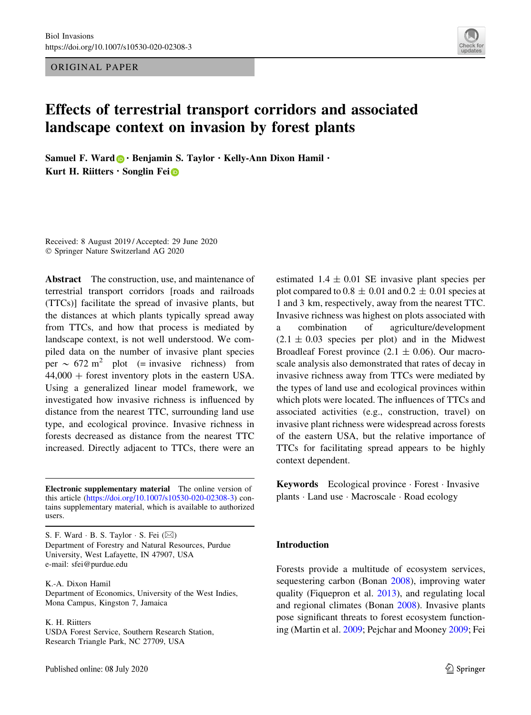ORIGINAL PAPER



# Effects of terrestrial transport corridors and associated landscape context on invasion by forest plants

Samuel F. Ward  $\bigcirc$  · Benjamin S. Taylor  $\cdot$  Kelly-Ann Dixon Hamil  $\cdot$ Kurt H. Riitters  $\cdot$  Songlin Fei $\circledcirc$ 

Received: 8 August 2019 / Accepted: 29 June 2020 - Springer Nature Switzerland AG 2020

Abstract The construction, use, and maintenance of terrestrial transport corridors [roads and railroads (TTCs)] facilitate the spread of invasive plants, but the distances at which plants typically spread away from TTCs, and how that process is mediated by landscape context, is not well understood. We compiled data on the number of invasive plant species per  $\sim$  672 m<sup>2</sup> plot (= invasive richness) from  $44,000 +$  forest inventory plots in the eastern USA. Using a generalized linear model framework, we investigated how invasive richness is influenced by distance from the nearest TTC, surrounding land use type, and ecological province. Invasive richness in forests decreased as distance from the nearest TTC increased. Directly adjacent to TTCs, there were an

Electronic supplementary material The online version of this article (https://doi.org/10.1007/s10530-020-02308-3) contains supplementary material, which is available to authorized users.

S. F. Ward  $\cdot$  B. S. Taylor  $\cdot$  S. Fei  $(\boxtimes)$ Department of Forestry and Natural Resources, Purdue University, West Lafayette, IN 47907, USA e-mail: sfei@purdue.edu

K.-A. Dixon Hamil Department of Economics, University of the West Indies, Mona Campus, Kingston 7, Jamaica

K. H. Riitters

USDA Forest Service, Southern Research Station, Research Triangle Park, NC 27709, USA

estimated  $1.4 \pm 0.01$  SE invasive plant species per plot compared to  $0.8 \pm 0.01$  and  $0.2 \pm 0.01$  species at 1 and 3 km, respectively, away from the nearest TTC. Invasive richness was highest on plots associated with a combination of agriculture/development  $(2.1 \pm 0.03$  species per plot) and in the Midwest Broadleaf Forest province  $(2.1 \pm 0.06)$ . Our macroscale analysis also demonstrated that rates of decay in invasive richness away from TTCs were mediated by the types of land use and ecological provinces within which plots were located. The influences of TTCs and associated activities (e.g., construction, travel) on invasive plant richness were widespread across forests of the eastern USA, but the relative importance of TTCs for facilitating spread appears to be highly context dependent.

Keywords Ecological province - Forest - Invasive plants - Land use - Macroscale - Road ecology

## Introduction

Forests provide a multitude of ecosystem services, sequestering carbon (Bonan 2008), improving water quality (Fiquepron et al. 2013), and regulating local and regional climates (Bonan 2008). Invasive plants pose significant threats to forest ecosystem functioning (Martin et al. 2009; Pejchar and Mooney 2009; Fei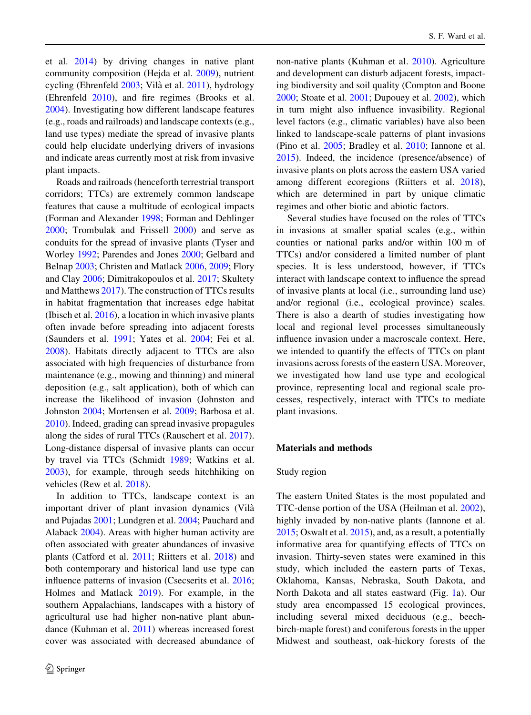et al. 2014) by driving changes in native plant community composition (Hejda et al. 2009), nutrient cycling (Ehrenfeld 2003; Vilà et al. 2011), hydrology (Ehrenfeld 2010), and fire regimes (Brooks et al. 2004). Investigating how different landscape features (e.g., roads and railroads) and landscape contexts (e.g., land use types) mediate the spread of invasive plants could help elucidate underlying drivers of invasions and indicate areas currently most at risk from invasive plant impacts.

Roads and railroads (henceforth terrestrial transport corridors; TTCs) are extremely common landscape features that cause a multitude of ecological impacts (Forman and Alexander 1998; Forman and Deblinger 2000; Trombulak and Frissell 2000) and serve as conduits for the spread of invasive plants (Tyser and Worley 1992; Parendes and Jones 2000; Gelbard and Belnap 2003; Christen and Matlack 2006, 2009; Flory and Clay 2006; Dimitrakopoulos et al. 2017; Skultety and Matthews 2017). The construction of TTCs results in habitat fragmentation that increases edge habitat (Ibisch et al. 2016), a location in which invasive plants often invade before spreading into adjacent forests (Saunders et al. 1991; Yates et al. 2004; Fei et al. 2008). Habitats directly adjacent to TTCs are also associated with high frequencies of disturbance from maintenance (e.g., mowing and thinning) and mineral deposition (e.g., salt application), both of which can increase the likelihood of invasion (Johnston and Johnston 2004; Mortensen et al. 2009; Barbosa et al. 2010). Indeed, grading can spread invasive propagules along the sides of rural TTCs (Rauschert et al. 2017). Long-distance dispersal of invasive plants can occur by travel via TTCs (Schmidt 1989; Watkins et al. 2003), for example, through seeds hitchhiking on vehicles (Rew et al. 2018).

In addition to TTCs, landscape context is an important driver of plant invasion dynamics (Vila` and Pujadas 2001; Lundgren et al. 2004; Pauchard and Alaback 2004). Areas with higher human activity are often associated with greater abundances of invasive plants (Catford et al. 2011; Riitters et al. 2018) and both contemporary and historical land use type can influence patterns of invasion (Csecserits et al. 2016; Holmes and Matlack 2019). For example, in the southern Appalachians, landscapes with a history of agricultural use had higher non-native plant abundance (Kuhman et al. 2011) whereas increased forest cover was associated with decreased abundance of non-native plants (Kuhman et al. 2010). Agriculture and development can disturb adjacent forests, impacting biodiversity and soil quality (Compton and Boone 2000; Stoate et al. 2001; Dupouey et al. 2002), which in turn might also influence invasibility. Regional level factors (e.g., climatic variables) have also been linked to landscape-scale patterns of plant invasions (Pino et al. 2005; Bradley et al. 2010; Iannone et al. 2015). Indeed, the incidence (presence/absence) of invasive plants on plots across the eastern USA varied among different ecoregions (Riitters et al. 2018), which are determined in part by unique climatic regimes and other biotic and abiotic factors.

Several studies have focused on the roles of TTCs in invasions at smaller spatial scales (e.g., within counties or national parks and/or within 100 m of TTCs) and/or considered a limited number of plant species. It is less understood, however, if TTCs interact with landscape context to influence the spread of invasive plants at local (i.e., surrounding land use) and/or regional (i.e., ecological province) scales. There is also a dearth of studies investigating how local and regional level processes simultaneously influence invasion under a macroscale context. Here, we intended to quantify the effects of TTCs on plant invasions across forests of the eastern USA. Moreover, we investigated how land use type and ecological province, representing local and regional scale processes, respectively, interact with TTCs to mediate plant invasions.

#### Materials and methods

#### Study region

The eastern United States is the most populated and TTC-dense portion of the USA (Heilman et al. 2002), highly invaded by non-native plants (Iannone et al. 2015; Oswalt et al. 2015), and, as a result, a potentially informative area for quantifying effects of TTCs on invasion. Thirty-seven states were examined in this study, which included the eastern parts of Texas, Oklahoma, Kansas, Nebraska, South Dakota, and North Dakota and all states eastward (Fig. 1a). Our study area encompassed 15 ecological provinces, including several mixed deciduous (e.g., beechbirch-maple forest) and coniferous forests in the upper Midwest and southeast, oak-hickory forests of the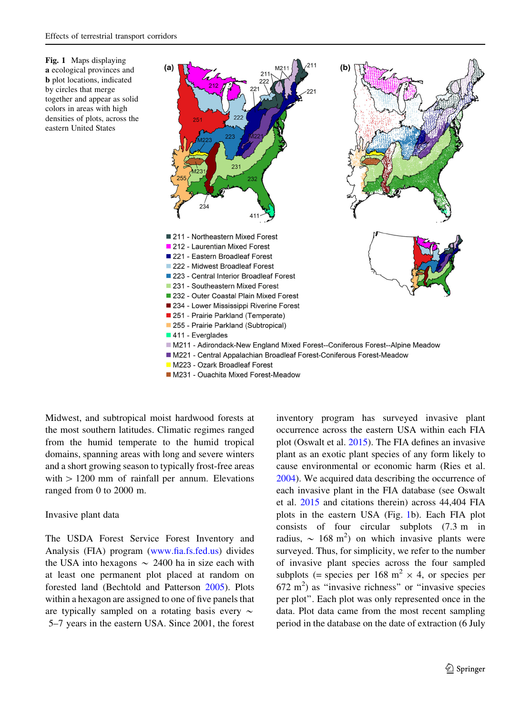



- M223 Ozark Broadleaf Forest
- M231 Ouachita Mixed Forest-Meadow

Midwest, and subtropical moist hardwood forests at the most southern latitudes. Climatic regimes ranged from the humid temperate to the humid tropical domains, spanning areas with long and severe winters and a short growing season to typically frost-free areas with  $> 1200$  mm of rainfall per annum. Elevations ranged from 0 to 2000 m.

## Invasive plant data

The USDA Forest Service Forest Inventory and Analysis (FIA) program (www.fia.fs.fed.us) divides the USA into hexagons  $\sim 2400$  ha in size each with at least one permanent plot placed at random on forested land (Bechtold and Patterson 2005). Plots within a hexagon are assigned to one of five panels that are typically sampled on a rotating basis every  $\sim$ 5–7 years in the eastern USA. Since 2001, the forest inventory program has surveyed invasive plant occurrence across the eastern USA within each FIA plot (Oswalt et al. 2015). The FIA defines an invasive plant as an exotic plant species of any form likely to cause environmental or economic harm (Ries et al. 2004). We acquired data describing the occurrence of each invasive plant in the FIA database (see Oswalt et al. 2015 and citations therein) across 44,404 FIA plots in the eastern USA (Fig. 1b). Each FIA plot consists of four circular subplots (7.3 m in radius,  $\sim 168$  m<sup>2</sup>) on which invasive plants were surveyed. Thus, for simplicity, we refer to the number of invasive plant species across the four sampled subplots (= species per 168 m<sup>2</sup>  $\times$  4, or species per  $672 \text{ m}^2$ ) as "invasive richness" or "invasive species per plot''. Each plot was only represented once in the data. Plot data came from the most recent sampling period in the database on the date of extraction (6 July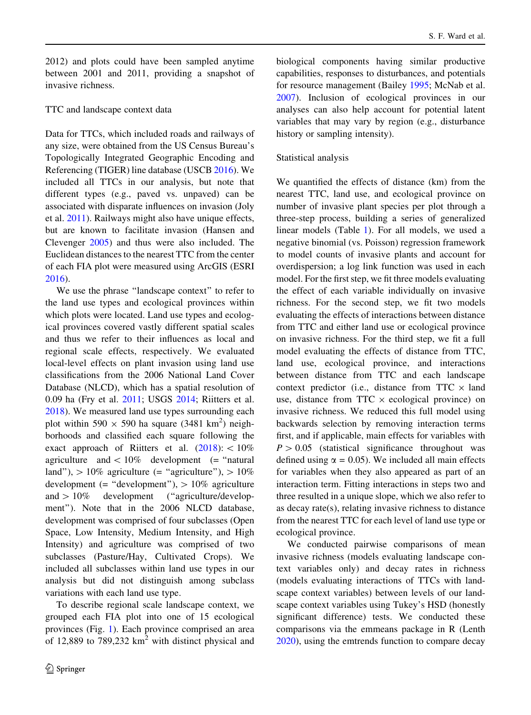2012) and plots could have been sampled anytime between 2001 and 2011, providing a snapshot of invasive richness.

## TTC and landscape context data

Data for TTCs, which included roads and railways of any size, were obtained from the US Census Bureau's Topologically Integrated Geographic Encoding and Referencing (TIGER) line database (USCB 2016). We included all TTCs in our analysis, but note that different types (e.g., paved vs. unpaved) can be associated with disparate influences on invasion (Joly et al. 2011). Railways might also have unique effects, but are known to facilitate invasion (Hansen and Clevenger 2005) and thus were also included. The Euclidean distances to the nearest TTC from the center of each FIA plot were measured using ArcGIS (ESRI 2016).

We use the phrase ''landscape context'' to refer to the land use types and ecological provinces within which plots were located. Land use types and ecological provinces covered vastly different spatial scales and thus we refer to their influences as local and regional scale effects, respectively. We evaluated local-level effects on plant invasion using land use classifications from the 2006 National Land Cover Database (NLCD), which has a spatial resolution of 0.09 ha (Fry et al. 2011; USGS 2014; Riitters et al. 2018). We measured land use types surrounding each plot within 590  $\times$  590 ha square (3481 km<sup>2</sup>) neighborhoods and classified each square following the exact approach of Riitters et al.  $(2018): \langle 10\% \rangle$ agriculture and  $\lt 10\%$  development (= "natural land"),  $> 10\%$  agriculture (= "agriculture"),  $> 10\%$ development (= "development"),  $> 10\%$  agriculture and  $> 10\%$  development ("agriculture/development''). Note that in the 2006 NLCD database, development was comprised of four subclasses (Open Space, Low Intensity, Medium Intensity, and High Intensity) and agriculture was comprised of two subclasses (Pasture/Hay, Cultivated Crops). We included all subclasses within land use types in our analysis but did not distinguish among subclass variations with each land use type.

To describe regional scale landscape context, we grouped each FIA plot into one of 15 ecological provinces (Fig. 1). Each province comprised an area of 12,889 to 789,232  $km^2$  with distinct physical and biological components having similar productive capabilities, responses to disturbances, and potentials for resource management (Bailey 1995; McNab et al. 2007). Inclusion of ecological provinces in our analyses can also help account for potential latent variables that may vary by region (e.g., disturbance history or sampling intensity).

### Statistical analysis

We quantified the effects of distance (km) from the nearest TTC, land use, and ecological province on number of invasive plant species per plot through a three-step process, building a series of generalized linear models (Table 1). For all models, we used a negative binomial (vs. Poisson) regression framework to model counts of invasive plants and account for overdispersion; a log link function was used in each model. For the first step, we fit three models evaluating the effect of each variable individually on invasive richness. For the second step, we fit two models evaluating the effects of interactions between distance from TTC and either land use or ecological province on invasive richness. For the third step, we fit a full model evaluating the effects of distance from TTC, land use, ecological province, and interactions between distance from TTC and each landscape context predictor (i.e., distance from  $TTC \times$  land use, distance from  $TTC \times ecological$  province) on invasive richness. We reduced this full model using backwards selection by removing interaction terms first, and if applicable, main effects for variables with  $P > 0.05$  (statistical significance throughout was defined using  $\alpha = 0.05$ ). We included all main effects for variables when they also appeared as part of an interaction term. Fitting interactions in steps two and three resulted in a unique slope, which we also refer to as decay rate(s), relating invasive richness to distance from the nearest TTC for each level of land use type or ecological province.

We conducted pairwise comparisons of mean invasive richness (models evaluating landscape context variables only) and decay rates in richness (models evaluating interactions of TTCs with landscape context variables) between levels of our landscape context variables using Tukey's HSD (honestly significant difference) tests. We conducted these comparisons via the emmeans package in R (Lenth 2020), using the emtrends function to compare decay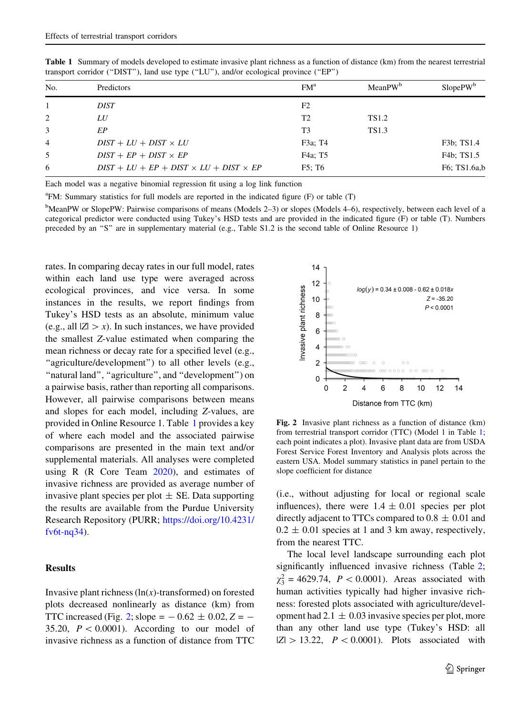| No.            | Predictors                                         | FM <sup>a</sup>       | MeanPW <sup>b</sup> | $SlopePW^b$  |
|----------------|----------------------------------------------------|-----------------------|---------------------|--------------|
|                | DIST                                               | F <sub>2</sub>        |                     |              |
| 2              | LU                                                 | T2                    | <b>TS1.2</b>        |              |
| 3              | EР                                                 | T3                    | TS1.3               |              |
| $\overline{4}$ | $DIST + LU + DIST \times LU$                       | F3a; T4               |                     | F3b; TS1.4   |
| 5              | $DIST + EP + DIST \times EP$                       | F4a; T5               |                     | F4b: TS1.5   |
| 6              | $DIST + LU + EP + DIST \times LU + DIST \times EP$ | $F5$ ; T <sub>6</sub> |                     | F6; TS1.6a,b |

Table 1 Summary of models developed to estimate invasive plant richness as a function of distance (km) from the nearest terrestrial transport corridor (''DIST''), land use type (''LU''), and/or ecological province (''EP'')

Each model was a negative binomial regression fit using a log link function

<sup>a</sup>FM: Summary statistics for full models are reported in the indicated figure (F) or table (T)

<sup>b</sup>MeanPW or SlopePW: Pairwise comparisons of means (Models 2–3) or slopes (Models 4–6), respectively, between each level of a categorical predictor were conducted using Tukey's HSD tests and are provided in the indicated figure (F) or table (T). Numbers preceded by an "S" are in supplementary material (e.g., Table S1.2 is the second table of Online Resource 1)

rates. In comparing decay rates in our full model, rates within each land use type were averaged across ecological provinces, and vice versa. In some instances in the results, we report findings from Tukey's HSD tests as an absolute, minimum value (e.g., all  $|Z| > x$ ). In such instances, we have provided the smallest Z-value estimated when comparing the mean richness or decay rate for a specified level (e.g., "agriculture/development") to all other levels (e.g., ''natural land'', ''agriculture'', and ''development'') on a pairwise basis, rather than reporting all comparisons. However, all pairwise comparisons between means and slopes for each model, including Z-values, are provided in Online Resource 1. Table 1 provides a key of where each model and the associated pairwise comparisons are presented in the main text and/or supplemental materials. All analyses were completed using R (R Core Team  $2020$ ), and estimates of invasive richness are provided as average number of invasive plant species per plot  $\pm$  SE. Data supporting the results are available from the Purdue University Research Repository (PURR; https://doi.org/10.4231/ fv6t-nq34).

## Results

Invasive plant richness  $(ln(x))$ -transformed) on forested plots decreased nonlinearly as distance (km) from TTC increased (Fig. 2; slope =  $-0.62 \pm 0.02$ , Z =  $-$ 35.20,  $P < 0.0001$ ). According to our model of invasive richness as a function of distance from TTC



Fig. 2 Invasive plant richness as a function of distance (km) from terrestrial transport corridor (TTC) (Model 1 in Table 1; each point indicates a plot). Invasive plant data are from USDA Forest Service Forest Inventory and Analysis plots across the eastern USA. Model summary statistics in panel pertain to the slope coefficient for distance

(i.e., without adjusting for local or regional scale influences), there were  $1.4 \pm 0.01$  species per plot directly adjacent to TTCs compared to  $0.8 \pm 0.01$  and  $0.2 \pm 0.01$  species at 1 and 3 km away, respectively, from the nearest TTC.

The local level landscape surrounding each plot significantly influenced invasive richness (Table 2;  $\chi_3^2 = 4629.74$ ,  $P < 0.0001$ ). Areas associated with human activities typically had higher invasive richness: forested plots associated with agriculture/development had  $2.1 \pm 0.03$  invasive species per plot, more than any other land use type (Tukey's HSD: all  $|Z| > 13.22$ ,  $P < 0.0001$ ). Plots associated with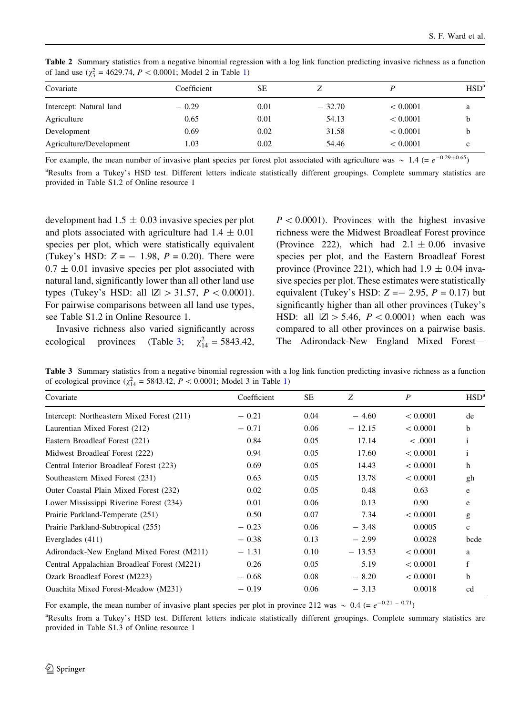| $\sim$                  |             |      |          |          |                  |  |
|-------------------------|-------------|------|----------|----------|------------------|--|
| Covariate               | Coefficient | SЕ   | ∠        |          | HSD <sup>a</sup> |  |
| Intercept: Natural land | $-0.29$     | 0.01 | $-32.70$ | < 0.0001 | a                |  |
| Agriculture             | 0.65        | 0.01 | 54.13    | < 0.0001 | b                |  |
| Development             | 0.69        | 0.02 | 31.58    | < 0.0001 | b                |  |
| Agriculture/Development | 1.03        | 0.02 | 54.46    | < 0.0001 | c                |  |

Table 2 Summary statistics from a negative binomial regression with a log link function predicting invasive richness as a function of land use  $(\chi_3^2 = 4629.74, P < 0.0001; \text{ Model 2 in Table 1})$ 

For example, the mean number of invasive plant species per forest plot associated with agriculture was  $\sim 1.4$  (=  $e^{-0.29+0.65}$ )

<sup>a</sup>Results from a Tukey's HSD test. Different letters indicate statistically different groupings. Complete summary statistics are provided in Table S1.2 of Online resource 1

development had  $1.5 \pm 0.03$  invasive species per plot and plots associated with agriculture had  $1.4 \pm 0.01$ species per plot, which were statistically equivalent (Tukey's HSD:  $Z = -1.98$ ,  $P = 0.20$ ). There were  $0.7 \pm 0.01$  invasive species per plot associated with natural land, significantly lower than all other land use types (Tukey's HSD: all  $|Z| > 31.57$ ,  $P < 0.0001$ ). For pairwise comparisons between all land use types, see Table S1.2 in Online Resource 1.

Invasive richness also varied significantly across ecological provinces (Table 3;  $\chi^2_{14} = 5843.42$ ,

 $P < 0.0001$ ). Provinces with the highest invasive richness were the Midwest Broadleaf Forest province (Province 222), which had  $2.1 \pm 0.06$  invasive species per plot, and the Eastern Broadleaf Forest province (Province 221), which had  $1.9 \pm 0.04$  invasive species per plot. These estimates were statistically equivalent (Tukey's HSD:  $Z = -2.95$ ,  $P = 0.17$ ) but significantly higher than all other provinces (Tukey's HSD: all  $|Z| > 5.46$ ,  $P < 0.0001$ ) when each was compared to all other provinces on a pairwise basis. The Adirondack-New England Mixed Forest—

Table 3 Summary statistics from a negative binomial regression with a log link function predicting invasive richness as a function of ecological province  $(\chi^2_{14} = 5843.42, P < 0.0001;$  Model 3 in Table 1)

| Covariate                                   | Coefficient | SE   | Z        | P        | HSD <sup>3</sup> |
|---------------------------------------------|-------------|------|----------|----------|------------------|
| Intercept: Northeastern Mixed Forest (211)  | $-0.21$     | 0.04 | $-4.60$  | < 0.0001 | de               |
| Laurentian Mixed Forest (212)               | $-0.71$     | 0.06 | $-12.15$ | < 0.0001 | b                |
| Eastern Broadleaf Forest (221)              | 0.84        | 0.05 | 17.14    | < .0001  |                  |
| Midwest Broadleaf Forest (222)              | 0.94        | 0.05 | 17.60    | < 0.0001 | 1                |
| Central Interior Broadleaf Forest (223)     | 0.69        | 0.05 | 14.43    | < 0.0001 | h                |
| Southeastern Mixed Forest (231)             | 0.63        | 0.05 | 13.78    | < 0.0001 | gh               |
| Outer Coastal Plain Mixed Forest (232)      | 0.02        | 0.05 | 0.48     | 0.63     | e                |
| Lower Mississippi Riverine Forest (234)     | 0.01        | 0.06 | 0.13     | 0.90     | e                |
| Prairie Parkland-Temperate (251)            | 0.50        | 0.07 | 7.34     | < 0.0001 | g                |
| Prairie Parkland-Subtropical (255)          | $-0.23$     | 0.06 | $-3.48$  | 0.0005   | $\mathbf{c}$     |
| Everglades (411)                            | $-0.38$     | 0.13 | $-2.99$  | 0.0028   | bcde             |
| Adirondack-New England Mixed Forest (M211)  | $-1.31$     | 0.10 | $-13.53$ | < 0.0001 | a                |
| Central Appalachian Broadleaf Forest (M221) | 0.26        | 0.05 | 5.19     | < 0.0001 | f                |
| Ozark Broadleaf Forest (M223)               | $-0.68$     | 0.08 | $-8.20$  | < 0.0001 | b                |
| <b>Ouachita Mixed Forest-Meadow (M231)</b>  | $-0.19$     | 0.06 | $-3.13$  | 0.0018   | cd               |
|                                             |             |      |          |          |                  |

For example, the mean number of invasive plant species per plot in province 212 was  $\sim 0.4$  (=  $e^{-0.21 - 0.71}$ )

<sup>a</sup>Results from a Tukey's HSD test. Different letters indicate statistically different groupings. Complete summary statistics are provided in Table S1.3 of Online resource 1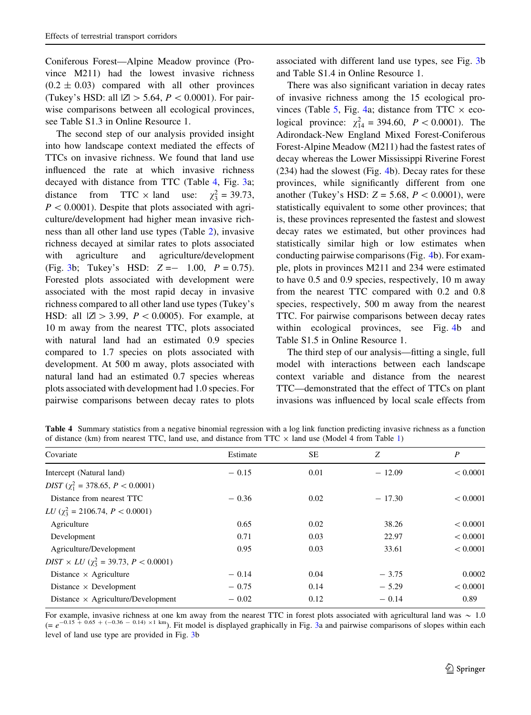Coniferous Forest—Alpine Meadow province (Province M211) had the lowest invasive richness  $(0.2 \pm 0.03)$  compared with all other provinces (Tukey's HSD: all  $|Z| > 5.64$ ,  $P < 0.0001$ ). For pairwise comparisons between all ecological provinces, see Table S1.3 in Online Resource 1.

The second step of our analysis provided insight into how landscape context mediated the effects of TTCs on invasive richness. We found that land use influenced the rate at which invasive richness decayed with distance from TTC (Table 4, Fig. 3a; distance from TTC  $\times$  land use:  $\chi_3^2 = 39.73$ ,  $P < 0.0001$ ). Despite that plots associated with agriculture/development had higher mean invasive richness than all other land use types (Table 2), invasive richness decayed at similar rates to plots associated with agriculture and agriculture/development (Fig. 3b; Tukey's HSD:  $Z = -1.00$ ,  $P = 0.75$ ). Forested plots associated with development were associated with the most rapid decay in invasive richness compared to all other land use types (Tukey's HSD: all  $|Z| > 3.99$ ,  $P < 0.0005$ ). For example, at 10 m away from the nearest TTC, plots associated with natural land had an estimated 0.9 species compared to 1.7 species on plots associated with development. At 500 m away, plots associated with natural land had an estimated 0.7 species whereas plots associated with development had 1.0 species. For pairwise comparisons between decay rates to plots associated with different land use types, see Fig. 3b and Table S1.4 in Online Resource 1.

There was also significant variation in decay rates of invasive richness among the 15 ecological provinces (Table 5, Fig. 4a; distance from TTC  $\times$  ecological province:  $\chi^2_{14} = 394.60, P < 0.0001$ . The Adirondack-New England Mixed Forest-Coniferous Forest-Alpine Meadow (M211) had the fastest rates of decay whereas the Lower Mississippi Riverine Forest (234) had the slowest (Fig. 4b). Decay rates for these provinces, while significantly different from one another (Tukey's HSD:  $Z = 5.68$ ,  $P < 0.0001$ ), were statistically equivalent to some other provinces; that is, these provinces represented the fastest and slowest decay rates we estimated, but other provinces had statistically similar high or low estimates when conducting pairwise comparisons (Fig. 4b). For example, plots in provinces M211 and 234 were estimated to have 0.5 and 0.9 species, respectively, 10 m away from the nearest TTC compared with 0.2 and 0.8 species, respectively, 500 m away from the nearest TTC. For pairwise comparisons between decay rates within ecological provinces, see Fig. 4b and Table S1.5 in Online Resource 1.

The third step of our analysis—fitting a single, full model with interactions between each landscape context variable and distance from the nearest TTC—demonstrated that the effect of TTCs on plant invasions was influenced by local scale effects from

Table 4 Summary statistics from a negative binomial regression with a log link function predicting invasive richness as a function of distance (km) from nearest TTC, land use, and distance from TTC  $\times$  land use (Model 4 from Table 1)

| Covariate                                           | Estimate | <b>SE</b> | Z        | $\boldsymbol{P}$ |
|-----------------------------------------------------|----------|-----------|----------|------------------|
| Intercept (Natural land)                            | $-0.15$  | 0.01      | $-12.09$ | < 0.0001         |
| $DIST$ ( $\chi_1^2 = 378.65, P < 0.0001$ )          |          |           |          |                  |
| Distance from nearest TTC                           | $-0.36$  | 0.02      | $-17.30$ | < 0.0001         |
| <i>LU</i> ( $\chi^2$ = 2106.74, <i>P</i> < 0.0001)  |          |           |          |                  |
| Agriculture                                         | 0.65     | 0.02      | 38.26    | < 0.0001         |
| Development                                         | 0.71     | 0.03      | 22.97    | < 0.0001         |
| Agriculture/Development                             | 0.95     | 0.03      | 33.61    | < 0.0001         |
| $DIST \times LU$ ( $\chi^2$ = 39.73, $P < 0.0001$ ) |          |           |          |                  |
| Distance $\times$ Agriculture                       | $-0.14$  | 0.04      | $-3.75$  | 0.0002           |
| Distance $\times$ Development                       | $-0.75$  | 0.14      | $-5.29$  | < 0.0001         |
| Distance $\times$ Agriculture/Development           | $-0.02$  | 0.12      | $-0.14$  | 0.89             |

For example, invasive richness at one km away from the nearest TTC in forest plots associated with agricultural land was  $\sim 1.0$ <br>(=  $e^{-0.15 + 0.65 + (-0.36 - 0.14) \times 1 \text{ km}}$ ). Fit model is displayed graphically in Fig. 3a and level of land use type are provided in Fig. 3b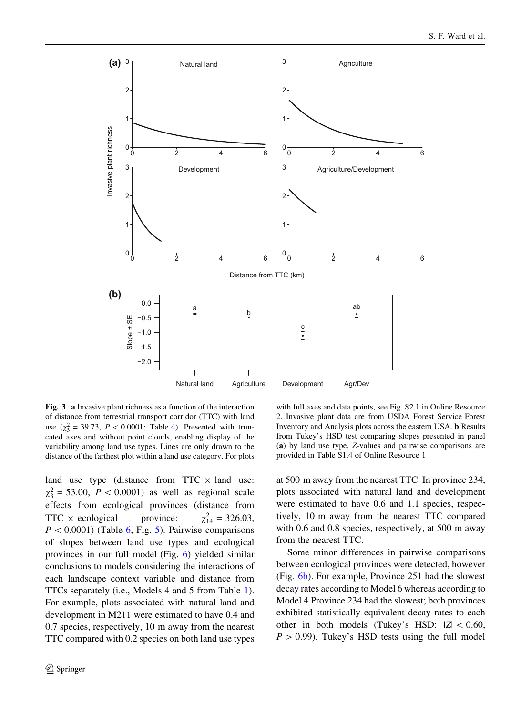

Fig. 3 a Invasive plant richness as a function of the interaction of distance from terrestrial transport corridor (TTC) with land use  $(\chi_3^2 = 39.73, P < 0.0001;$  Table 4). Presented with truncated axes and without point clouds, enabling display of the variability among land use types. Lines are only drawn to the distance of the farthest plot within a land use category. For plots

land use type (distance from  $TTC \times$  land use:  $\chi_3^2 = 53.00, \ P < 0.0001$  as well as regional scale effects from ecological provinces (distance from  $TTC \times ecological$  province:  $\chi_{14}^2$  = 326.03,  $P < 0.0001$ ) (Table 6, Fig. 5). Pairwise comparisons of slopes between land use types and ecological provinces in our full model (Fig. 6) yielded similar conclusions to models considering the interactions of each landscape context variable and distance from TTCs separately (i.e., Models 4 and 5 from Table 1). For example, plots associated with natural land and development in M211 were estimated to have 0.4 and 0.7 species, respectively, 10 m away from the nearest TTC compared with 0.2 species on both land use types

with full axes and data points, see Fig. S2.1 in Online Resource 2. Invasive plant data are from USDA Forest Service Forest Inventory and Analysis plots across the eastern USA. b Results from Tukey's HSD test comparing slopes presented in panel (a) by land use type. Z-values and pairwise comparisons are provided in Table S1.4 of Online Resource 1

at 500 m away from the nearest TTC. In province 234, plots associated with natural land and development were estimated to have 0.6 and 1.1 species, respectively, 10 m away from the nearest TTC compared with 0.6 and 0.8 species, respectively, at 500 m away from the nearest TTC.

Some minor differences in pairwise comparisons between ecological provinces were detected, however (Fig. 6b). For example, Province 251 had the slowest decay rates according to Model 6 whereas according to Model 4 Province 234 had the slowest; both provinces exhibited statistically equivalent decay rates to each other in both models (Tukey's HSD:  $|Z| < 0.60$ ,  $P > 0.99$ ). Tukey's HSD tests using the full model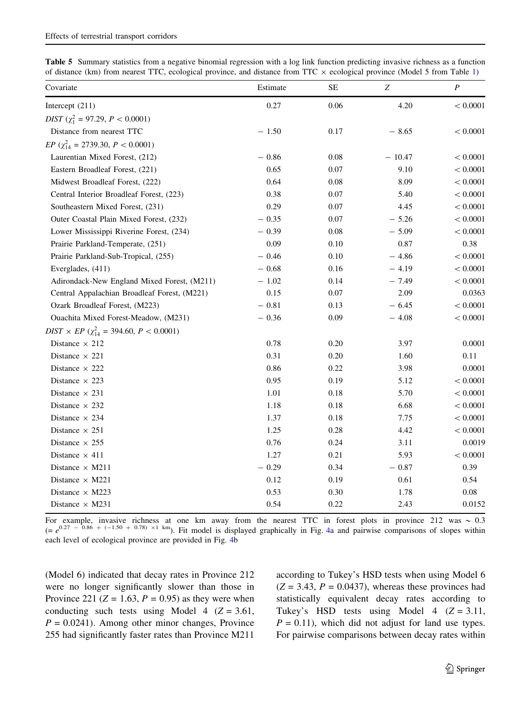|  |  |  |  |  |  |  | <b>Table 5</b> Summary statistics from a negative binomial regression with a log link function predicting invasive richness as a function |  |
|--|--|--|--|--|--|--|-------------------------------------------------------------------------------------------------------------------------------------------|--|
|  |  |  |  |  |  |  | of distance (km) from nearest TTC, ecological province, and distance from TTC $\times$ ecological province (Model 5 from Table 1)         |  |

| Covariate                                                 | Estimate | <b>SE</b> | Z        | $\boldsymbol{P}$ |
|-----------------------------------------------------------|----------|-----------|----------|------------------|
| Intercept (211)                                           | 0.27     | 0.06      | 4.20     | < 0.0001         |
| $DIST (\chi_1^2 = 97.29, P < 0.0001)$                     |          |           |          |                  |
| Distance from nearest TTC                                 | $-1.50$  | 0.17      | $-8.65$  | < 0.0001         |
| $EP$ ( $\chi_{14}^2$ = 2739.30, $P < 0.0001$ )            |          |           |          |                  |
| Laurentian Mixed Forest, (212)                            | $-0.86$  | 0.08      | $-10.47$ | < 0.0001         |
| Eastern Broadleaf Forest, (221)                           | 0.65     | 0.07      | 9.10     | < 0.0001         |
| Midwest Broadleaf Forest, (222)                           | 0.64     | 0.08      | 8.09     | < 0.0001         |
| Central Interior Broadleaf Forest, (223)                  | 0.38     | 0.07      | 5.40     | < 0.0001         |
| Southeastern Mixed Forest, (231)                          | 0.29     | 0.07      | 4.45     | < 0.0001         |
| Outer Coastal Plain Mixed Forest, (232)                   | $-0.35$  | 0.07      | $-5.26$  | < 0.0001         |
| Lower Mississippi Riverine Forest, (234)                  | $-0.39$  | 0.08      | $-5.09$  | < 0.0001         |
| Prairie Parkland-Temperate, (251)                         | 0.09     | 0.10      | 0.87     | 0.38             |
| Prairie Parkland-Sub-Tropical, (255)                      | $-0.46$  | 0.10      | $-4.86$  | < 0.0001         |
| Everglades, (411)                                         | $-0.68$  | 0.16      | $-4.19$  | < 0.0001         |
| Adirondack-New England Mixed Forest, (M211)               | $-1.02$  | 0.14      | $-7.49$  | < 0.0001         |
| Central Appalachian Broadleaf Forest, (M221)              | 0.15     | 0.07      | 2.09     | 0.0363           |
| Ozark Broadleaf Forest, (M223)                            | $-0.81$  | 0.13      | $-6.45$  | < 0.0001         |
| Ouachita Mixed Forest-Meadow, (M231)                      | $-0.36$  | 0.09      | $-4.08$  | < 0.0001         |
| $DIST \times EP \; (\chi^2_{14} = 394.60, \, P < 0.0001)$ |          |           |          |                  |
| Distance $\times$ 212                                     | 0.78     | 0.20      | 3.97     | 0.0001           |
| Distance $\times$ 221                                     | 0.31     | 0.20      | 1.60     | 0.11             |
| Distance $\times$ 222                                     | 0.86     | 0.22      | 3.98     | 0.0001           |
| Distance $\times$ 223                                     | 0.95     | 0.19      | 5.12     | < 0.0001         |
| Distance $\times$ 231                                     | 1.01     | 0.18      | 5.70     | < 0.0001         |
| Distance $\times$ 232                                     | 1.18     | 0.18      | 6.68     | < 0.0001         |
| Distance $\times$ 234                                     | 1.37     | 0.18      | 7.75     | < 0.0001         |
| Distance $\times$ 251                                     | 1.25     | 0.28      | 4.42     | < 0.0001         |
| Distance $\times$ 255                                     | 0.76     | 0.24      | 3.11     | 0.0019           |
| Distance $\times$ 411                                     | 1.27     | 0.21      | 5.93     | < 0.0001         |
| Distance $\times$ M211                                    | $-0.29$  | 0.34      | $-0.87$  | 0.39             |
| Distance $\times$ M221                                    | 0.12     | 0.19      | 0.61     | 0.54             |
| Distance $\times$ M223                                    | 0.53     | 0.30      | 1.78     | $0.08\,$         |
| Distance $\times$ M231                                    | 0.54     | 0.22      | 2.43     | 0.0152           |

For example, invasive richness at one km away from the nearest TTC in forest plots in province 212 was  $\sim 0.3$ <br>(=  $e^{0.27 - 0.86 + (-1.50 + 0.78) \times 1 \text{ km}}$ ). Fit model is displayed graphically in Fig. 4a and pairwise comparis each level of ecological province are provided in Fig. 4b

(Model 6) indicated that decay rates in Province 212 were no longer significantly slower than those in Province 221 ( $Z = 1.63$ ,  $P = 0.95$ ) as they were when conducting such tests using Model 4 ( $Z = 3.61$ ,  $P = 0.0241$ . Among other minor changes, Province 255 had significantly faster rates than Province M211

according to Tukey's HSD tests when using Model 6  $(Z = 3.43, P = 0.0437)$ , whereas these provinces had statistically equivalent decay rates according to Tukey's HSD tests using Model 4  $(Z = 3.11,$  $P = 0.11$ , which did not adjust for land use types. For pairwise comparisons between decay rates within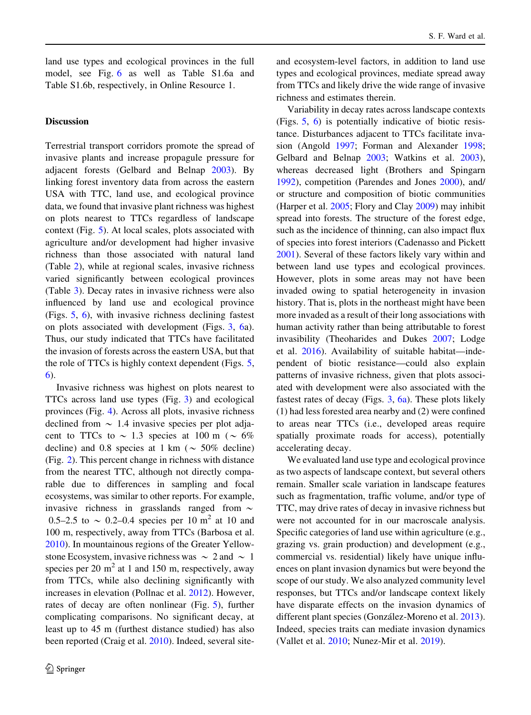land use types and ecological provinces in the full model, see Fig. 6 as well as Table S1.6a and Table S1.6b, respectively, in Online Resource 1.

### **Discussion**

Terrestrial transport corridors promote the spread of invasive plants and increase propagule pressure for adjacent forests (Gelbard and Belnap 2003). By linking forest inventory data from across the eastern USA with TTC, land use, and ecological province data, we found that invasive plant richness was highest on plots nearest to TTCs regardless of landscape context (Fig. 5). At local scales, plots associated with agriculture and/or development had higher invasive richness than those associated with natural land (Table 2), while at regional scales, invasive richness varied significantly between ecological provinces (Table 3). Decay rates in invasive richness were also influenced by land use and ecological province (Figs. 5, 6), with invasive richness declining fastest on plots associated with development (Figs. 3, 6a). Thus, our study indicated that TTCs have facilitated the invasion of forests across the eastern USA, but that the role of TTCs is highly context dependent (Figs. 5, 6).

Invasive richness was highest on plots nearest to TTCs across land use types (Fig. 3) and ecological provinces (Fig. 4). Across all plots, invasive richness declined from  $\sim$  1.4 invasive species per plot adjacent to TTCs to  $\sim$  1.3 species at 100 m ( $\sim$  6% decline) and 0.8 species at 1 km ( $\sim$  50% decline) (Fig. 2). This percent change in richness with distance from the nearest TTC, although not directly comparable due to differences in sampling and focal ecosystems, was similar to other reports. For example, invasive richness in grasslands ranged from  $\sim$ 0.5–2.5 to  $\sim$  0.2–0.4 species per 10 m<sup>2</sup> at 10 and 100 m, respectively, away from TTCs (Barbosa et al. 2010). In mountainous regions of the Greater Yellowstone Ecosystem, invasive richness was  $\sim 2$  and  $\sim 1$ species per 20  $m<sup>2</sup>$  at 1 and 150 m, respectively, away from TTCs, while also declining significantly with increases in elevation (Pollnac et al. 2012). However, rates of decay are often nonlinear (Fig. 5), further complicating comparisons. No significant decay, at least up to 45 m (furthest distance studied) has also been reported (Craig et al. 2010). Indeed, several siteand ecosystem-level factors, in addition to land use types and ecological provinces, mediate spread away from TTCs and likely drive the wide range of invasive richness and estimates therein.

Variability in decay rates across landscape contexts (Figs. 5, 6) is potentially indicative of biotic resistance. Disturbances adjacent to TTCs facilitate invasion (Angold 1997; Forman and Alexander 1998; Gelbard and Belnap 2003; Watkins et al. 2003), whereas decreased light (Brothers and Spingarn 1992), competition (Parendes and Jones 2000), and/ or structure and composition of biotic communities (Harper et al. 2005; Flory and Clay 2009) may inhibit spread into forests. The structure of the forest edge, such as the incidence of thinning, can also impact flux of species into forest interiors (Cadenasso and Pickett 2001). Several of these factors likely vary within and between land use types and ecological provinces. However, plots in some areas may not have been invaded owing to spatial heterogeneity in invasion history. That is, plots in the northeast might have been more invaded as a result of their long associations with human activity rather than being attributable to forest invasibility (Theoharides and Dukes 2007; Lodge et al. 2016). Availability of suitable habitat—independent of biotic resistance—could also explain patterns of invasive richness, given that plots associated with development were also associated with the fastest rates of decay (Figs.  $3, 6a$ ). These plots likely (1) had less forested area nearby and (2) were confined to areas near TTCs (i.e., developed areas require spatially proximate roads for access), potentially accelerating decay.

We evaluated land use type and ecological province as two aspects of landscape context, but several others remain. Smaller scale variation in landscape features such as fragmentation, traffic volume, and/or type of TTC, may drive rates of decay in invasive richness but were not accounted for in our macroscale analysis. Specific categories of land use within agriculture (e.g., grazing vs. grain production) and development (e.g., commercial vs. residential) likely have unique influences on plant invasion dynamics but were beyond the scope of our study. We also analyzed community level responses, but TTCs and/or landscape context likely have disparate effects on the invasion dynamics of different plant species (González-Moreno et al. 2013). Indeed, species traits can mediate invasion dynamics (Vallet et al. 2010; Nunez-Mir et al. 2019).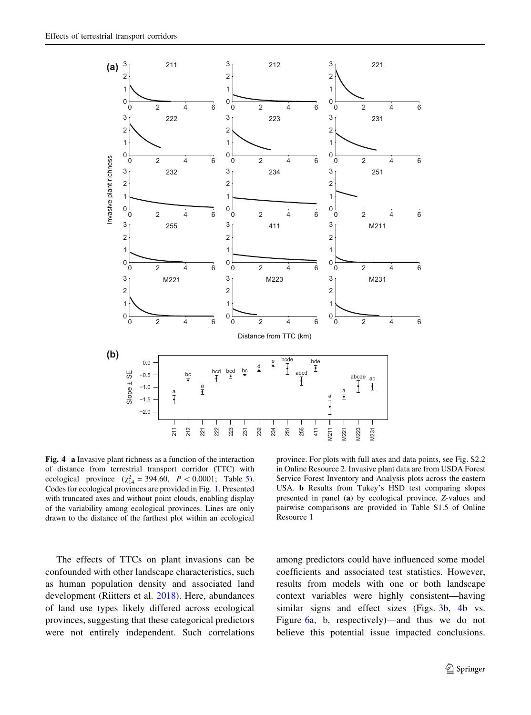

Fig. 4 a Invasive plant richness as a function of the interaction of distance from terrestrial transport corridor (TTC) with ecological province  $(\chi^2_{14} = 394.60, P < 0.0001;$  Table 5). Codes for ecological provinces are provided in Fig. 1. Presented with truncated axes and without point clouds, enabling display of the variability among ecological provinces. Lines are only drawn to the distance of the farthest plot within an ecological

The effects of TTCs on plant invasions can be confounded with other landscape characteristics, such as human population density and associated land development (Riitters et al. 2018). Here, abundances of land use types likely differed across ecological provinces, suggesting that these categorical predictors were not entirely independent. Such correlations

province. For plots with full axes and data points, see Fig. S2.2 in Online Resource 2. Invasive plant data are from USDA Forest Service Forest Inventory and Analysis plots across the eastern USA. b Results from Tukey's HSD test comparing slopes presented in panel (a) by ecological province. Z-values and pairwise comparisons are provided in Table S1.5 of Online Resource 1

among predictors could have influenced some model coefficients and associated test statistics. However, results from models with one or both landscape context variables were highly consistent—having similar signs and effect sizes (Figs. 3b, 4b vs. Figure 6a, b, respectively)—and thus we do not believe this potential issue impacted conclusions.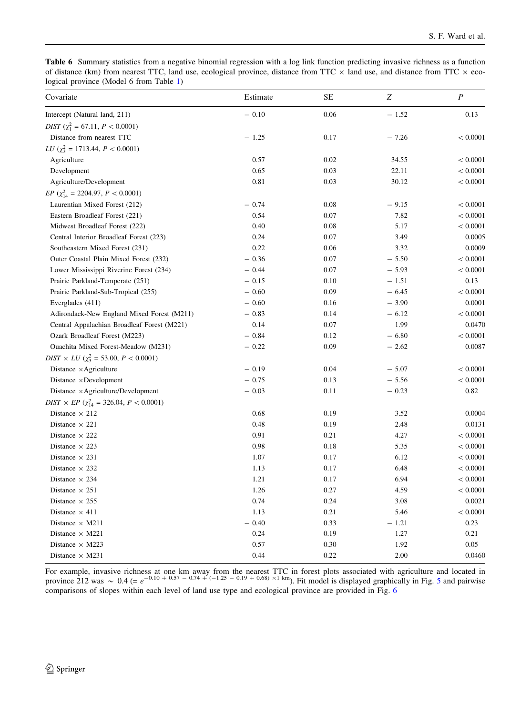Table 6 Summary statistics from a negative binomial regression with a log link function predicting invasive richness as a function of distance (km) from nearest TTC, land use, ecological province, distance from TTC  $\times$  land use, and distance from TTC  $\times$  ecological province (Model 6 from Table 1)

| Covariate                                                      | Estimate | <b>SE</b> | Z       | $\boldsymbol{P}$ |
|----------------------------------------------------------------|----------|-----------|---------|------------------|
| Intercept (Natural land, 211)                                  | $-0.10$  | 0.06      | $-1.52$ | 0.13             |
| $DIST (\chi_1^2 = 67.11, P < 0.0001)$                          |          |           |         |                  |
| Distance from nearest TTC                                      | $-1.25$  | 0.17      | $-7.26$ | < 0.0001         |
| $LU$ ( $\chi^2$ = 1713.44, $P < 0.0001$ )                      |          |           |         |                  |
| Agriculture                                                    | 0.57     | 0.02      | 34.55   | < 0.0001         |
| Development                                                    | 0.65     | 0.03      | 22.11   | < 0.0001         |
| Agriculture/Development                                        | 0.81     | 0.03      | 30.12   | < 0.0001         |
| $EP$ ( $\chi_{14}^2$ = 2204.97, $P < 0.0001$ )                 |          |           |         |                  |
| Laurentian Mixed Forest (212)                                  | $-0.74$  | 0.08      | $-9.15$ | < 0.0001         |
| Eastern Broadleaf Forest (221)                                 | 0.54     | 0.07      | 7.82    | < 0.0001         |
| Midwest Broadleaf Forest (222)                                 | 0.40     | 0.08      | 5.17    | < 0.0001         |
| Central Interior Broadleaf Forest (223)                        | 0.24     | 0.07      | 3.49    | 0.0005           |
| Southeastern Mixed Forest (231)                                | 0.22     | 0.06      | 3.32    | 0.0009           |
| Outer Coastal Plain Mixed Forest (232)                         | $-0.36$  | 0.07      | $-5.50$ | < 0.0001         |
| Lower Mississippi Riverine Forest (234)                        | $-0.44$  | 0.07      | $-5.93$ | < 0.0001         |
| Prairie Parkland-Temperate (251)                               | $-0.15$  | 0.10      | $-1.51$ | 0.13             |
| Prairie Parkland-Sub-Tropical (255)                            | $-0.60$  | 0.09      | $-6.45$ | < 0.0001         |
| Everglades (411)                                               | $-0.60$  | 0.16      | $-3.90$ | 0.0001           |
| Adirondack-New England Mixed Forest (M211)                     | $-0.83$  | 0.14      | $-6.12$ | < 0.0001         |
| Central Appalachian Broadleaf Forest (M221)                    | 0.14     | 0.07      | 1.99    | 0.0470           |
| Ozark Broadleaf Forest (M223)                                  | $-0.84$  | 0.12      | $-6.80$ | < 0.0001         |
| Ouachita Mixed Forest-Meadow (M231)                            | $-0.22$  | 0.09      | $-2.62$ | 0.0087           |
| $DIST \times LU$ ( $\chi^2$ = 53.00, $P < 0.0001$ )            |          |           |         |                  |
| Distance ×Agriculture                                          | $-0.19$  | 0.04      | $-5.07$ | < 0.0001         |
| Distance $\times$ Development                                  | $-0.75$  | 0.13      | $-5.56$ | < 0.0001         |
| Distance $\times$ Agriculture/Development                      | $-0.03$  | 0.11      | $-0.23$ | 0.82             |
| $DIST \times EP \left(\chi_{14}^2 = 326.04, P < 0.0001\right)$ |          |           |         |                  |
| Distance $\times$ 212                                          | 0.68     | 0.19      | 3.52    | 0.0004           |
| Distance $\times$ 221                                          | 0.48     | 0.19      | 2.48    | 0.0131           |
| Distance $\times$ 222                                          | 0.91     | 0.21      | 4.27    | < 0.0001         |
| Distance $\times$ 223                                          | 0.98     | 0.18      | 5.35    | < 0.0001         |
| Distance $\times$ 231                                          | 1.07     | 0.17      | 6.12    | < 0.0001         |
| Distance $\times$ 232                                          | 1.13     | 0.17      | 6.48    | < 0.0001         |
| Distance $\times$ 234                                          | 1.21     | 0.17      | 6.94    | < 0.0001         |
| Distance $\times$ 251                                          | 1.26     | 0.27      | 4.59    | < 0.0001         |
| Distance $\times$ 255                                          | 0.74     | 0.24      | 3.08    | 0.0021           |
| Distance $\times$ 411                                          | 1.13     | 0.21      | 5.46    | < 0.0001         |
| Distance $\times$ M211                                         | $-0.40$  | 0.33      | $-1.21$ | 0.23             |
| Distance $\times$ M221                                         | 0.24     | 0.19      | 1.27    | 0.21             |
| Distance $\times$ M223                                         | 0.57     | 0.30      | 1.92    | 0.05             |
| Distance $\times$ M231                                         | 0.44     | 0.22      | 2.00    | 0.0460           |

For example, invasive richness at one km away from the nearest TTC in forest plots associated with agriculture and located in province 212 was  $\sim 0.4$  (=  $e^{-0.10 + 0.57 - 0.74 + (-1.25 - 0.19 + 0.68) \times 1 \text{ km}}$ ). Fit model is di comparisons of slopes within each level of land use type and ecological province are provided in Fig. 6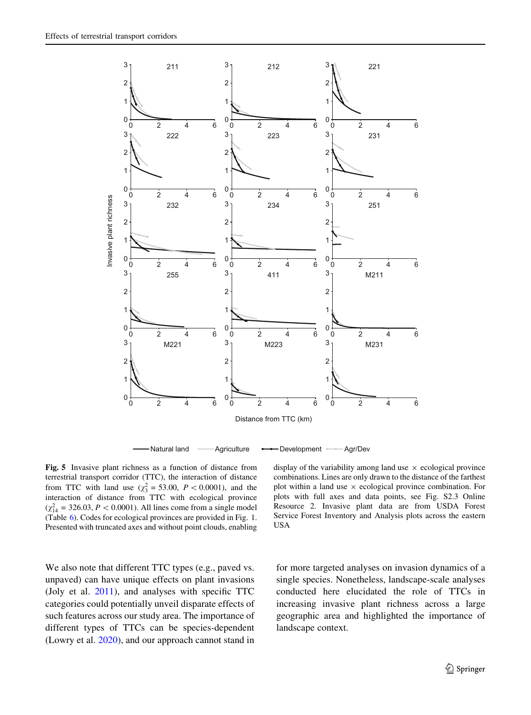

Fig. 5 Invasive plant richness as a function of distance from terrestrial transport corridor (TTC), the interaction of distance from TTC with land use  $(\chi_3^2 = 53.00, P < 0.0001)$ , and the interaction of distance from TTC with ecological province  $(\chi_{14}^2 = 326.03, P < 0.0001)$ . All lines come from a single model (Table 6). Codes for ecological provinces are provided in Fig. 1. Presented with truncated axes and without point clouds, enabling

We also note that different TTC types (e.g., paved vs. unpaved) can have unique effects on plant invasions (Joly et al. 2011), and analyses with specific TTC categories could potentially unveil disparate effects of such features across our study area. The importance of different types of TTCs can be species-dependent (Lowry et al. 2020), and our approach cannot stand in

display of the variability among land use  $\times$  ecological province combinations. Lines are only drawn to the distance of the farthest plot within a land use  $\times$  ecological province combination. For plots with full axes and data points, see Fig. S2.3 Online Resource 2. Invasive plant data are from USDA Forest Service Forest Inventory and Analysis plots across the eastern USA

for more targeted analyses on invasion dynamics of a single species. Nonetheless, landscape-scale analyses conducted here elucidated the role of TTCs in increasing invasive plant richness across a large geographic area and highlighted the importance of landscape context.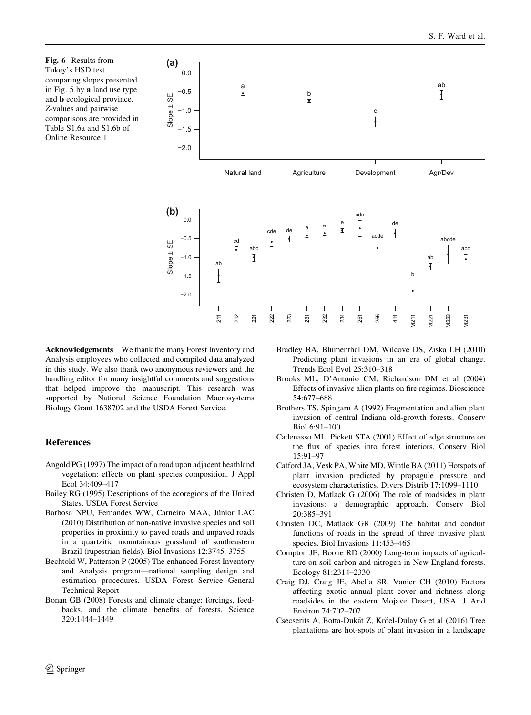Fig. 6 Results from Tukey's HSD test comparing slopes presented in Fig. 5 by a land use type and b ecological province. Z-values and pairwise comparisons are provided in Table S1.6a and S1.6b of Online Resource 1



Acknowledgements We thank the many Forest Inventory and Analysis employees who collected and compiled data analyzed in this study. We also thank two anonymous reviewers and the handling editor for many insightful comments and suggestions that helped improve the manuscript. This research was supported by National Science Foundation Macrosystems Biology Grant 1638702 and the USDA Forest Service.

### References

- Angold PG (1997) The impact of a road upon adjacent heathland vegetation: effects on plant species composition. J Appl Ecol 34:409–417
- Bailey RG (1995) Descriptions of the ecoregions of the United States. USDA Forest Service
- Barbosa NPU, Fernandes WW, Carneiro MAA, Júnior LAC (2010) Distribution of non-native invasive species and soil properties in proximity to paved roads and unpaved roads in a quartzitic mountainous grassland of southeastern Brazil (rupestrian fields). Biol Invasions 12:3745–3755
- Bechtold W, Patterson P (2005) The enhanced Forest Inventory and Analysis program—national sampling design and estimation procedures. USDA Forest Service General Technical Report
- Bonan GB (2008) Forests and climate change: forcings, feedbacks, and the climate benefits of forests. Science 320:1444–1449
- Bradley BA, Blumenthal DM, Wilcove DS, Ziska LH (2010) Predicting plant invasions in an era of global change. Trends Ecol Evol 25:310–318
- Brooks ML, D'Antonio CM, Richardson DM et al (2004) Effects of invasive alien plants on fire regimes. Bioscience 54:677–688
- Brothers TS, Spingarn A (1992) Fragmentation and alien plant invasion of central Indiana old-growth forests. Conserv Biol 6:91–100
- Cadenasso ML, Pickett STA (2001) Effect of edge structure on the flux of species into forest interiors. Conserv Biol 15:91–97
- Catford JA, Vesk PA, White MD, Wintle BA (2011) Hotspots of plant invasion predicted by propagule pressure and ecosystem characteristics. Divers Distrib 17:1099–1110
- Christen D, Matlack G (2006) The role of roadsides in plant invasions: a demographic approach. Conserv Biol 20:385–391
- Christen DC, Matlack GR (2009) The habitat and conduit functions of roads in the spread of three invasive plant species. Biol Invasions 11:453–465
- Compton JE, Boone RD (2000) Long-term impacts of agriculture on soil carbon and nitrogen in New England forests. Ecology 81:2314–2330
- Craig DJ, Craig JE, Abella SR, Vanier CH (2010) Factors affecting exotic annual plant cover and richness along roadsides in the eastern Mojave Desert, USA. J Arid Environ 74:702–707
- Csecserits A, Botta-Dukát Z, Kröel-Dulay G et al (2016) Tree plantations are hot-spots of plant invasion in a landscape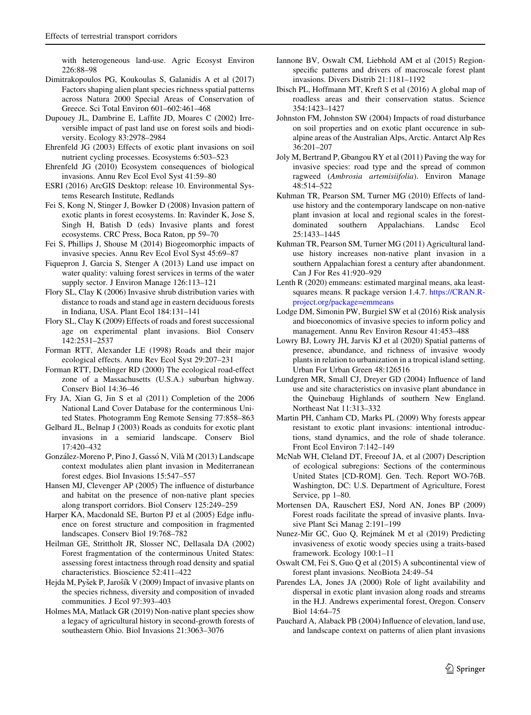with heterogeneous land-use. Agric Ecosyst Environ 226:88–98

- Dimitrakopoulos PG, Koukoulas S, Galanidis A et al (2017) Factors shaping alien plant species richness spatial patterns across Natura 2000 Special Areas of Conservation of Greece. Sci Total Environ 601–602:461–468
- Dupouey JL, Dambrine E, Laffite JD, Moares C (2002) Irreversible impact of past land use on forest soils and biodiversity. Ecology 83:2978–2984
- Ehrenfeld JG (2003) Effects of exotic plant invasions on soil nutrient cycling processes. Ecosystems 6:503–523
- Ehrenfeld JG (2010) Ecosystem consequences of biological invasions. Annu Rev Ecol Evol Syst 41:59–80
- ESRI (2016) ArcGIS Desktop: release 10. Environmental Systems Research Institute, Redlands
- Fei S, Kong N, Stinger J, Bowker D (2008) Invasion pattern of exotic plants in forest ecosystems. In: Ravinder K, Jose S, Singh H, Batish D (eds) Invasive plants and forest ecosystems. CRC Press, Boca Raton, pp 59–70
- Fei S, Phillips J, Shouse M (2014) Biogeomorphic impacts of invasive species. Annu Rev Ecol Evol Syst 45:69–87
- Fiquepron J, Garcia S, Stenger A (2013) Land use impact on water quality: valuing forest services in terms of the water supply sector. J Environ Manage 126:113–121
- Flory SL, Clay K (2006) Invasive shrub distribution varies with distance to roads and stand age in eastern deciduous forests in Indiana, USA. Plant Ecol 184:131–141
- Flory SL, Clay K (2009) Effects of roads and forest successional age on experimental plant invasions. Biol Conserv 142:2531–2537
- Forman RTT, Alexander LE (1998) Roads and their major ecological effects. Annu Rev Ecol Syst 29:207–231
- Forman RTT, Deblinger RD (2000) The ecological road-effect zone of a Massachusetts (U.S.A.) suburban highway. Conserv Biol 14:36–46
- Fry JA, Xian G, Jin S et al (2011) Completion of the 2006 National Land Cover Database for the conterminous United States. Photogramm Eng Remote Sensing 77:858–863
- Gelbard JL, Belnap J (2003) Roads as conduits for exotic plant invasions in a semiarid landscape. Conserv Biol 17:420–432
- González-Moreno P, Pino J, Gassó N, Vilà M (2013) Landscape context modulates alien plant invasion in Mediterranean forest edges. Biol Invasions 15:547–557
- Hansen MJ, Clevenger AP (2005) The influence of disturbance and habitat on the presence of non-native plant species along transport corridors. Biol Conserv 125:249–259
- Harper KA, Macdonald SE, Burton PJ et al (2005) Edge influence on forest structure and composition in fragmented landscapes. Conserv Biol 19:768–782
- Heilman GE, Strittholt JR, Slosser NC, Dellasala DA (2002) Forest fragmentation of the conterminous United States: assessing forest intactness through road density and spatial characteristics. Bioscience 52:411–422
- Hejda M, Pyšek P, Jarošík V (2009) Impact of invasive plants on the species richness, diversity and composition of invaded communities. J Ecol 97:393–403
- Holmes MA, Matlack GR (2019) Non-native plant species show a legacy of agricultural history in second-growth forests of southeastern Ohio. Biol Invasions 21:3063–3076
- Iannone BV, Oswalt CM, Liebhold AM et al (2015) Regionspecific patterns and drivers of macroscale forest plant invasions. Divers Distrib 21:1181–1192
- Ibisch PL, Hoffmann MT, Kreft S et al (2016) A global map of roadless areas and their conservation status. Science 354:1423–1427
- Johnston FM, Johnston SW (2004) Impacts of road disturbance on soil properties and on exotic plant occurence in subalpine areas of the Australian Alps, Arctic. Antarct Alp Res 36:201–207
- Joly M, Bertrand P, Gbangou RY et al (2011) Paving the way for invasive species: road type and the spread of common ragweed (Ambrosia artemisiifolia). Environ Manage 48:514–522
- Kuhman TR, Pearson SM, Turner MG (2010) Effects of landuse history and the contemporary landscape on non-native plant invasion at local and regional scales in the forestdominated southern Appalachians. Landsc Ecol 25:1433–1445
- Kuhman TR, Pearson SM, Turner MG (2011) Agricultural landuse history increases non-native plant invasion in a southern Appalachian forest a century after abandonment. Can J For Res 41:920–929
- Lenth R (2020) emmeans: estimated marginal means, aka leastsquares means. R package version 1.4.7. https://CRAN.Rproject.org/package=emmeans
- Lodge DM, Simonin PW, Burgiel SW et al (2016) Risk analysis and bioeconomics of invasive species to inform policy and management. Annu Rev Environ Resour 41:453–488
- Lowry BJ, Lowry JH, Jarvis KJ et al (2020) Spatial patterns of presence, abundance, and richness of invasive woody plants in relation to urbanization in a tropical island setting. Urban For Urban Green 48:126516
- Lundgren MR, Small CJ, Dreyer GD (2004) Influence of land use and site characteristics on invasive plant abundance in the Quinebaug Highlands of southern New England. Northeast Nat 11:313–332
- Martin PH, Canham CD, Marks PL (2009) Why forests appear resistant to exotic plant invasions: intentional introductions, stand dynamics, and the role of shade tolerance. Front Ecol Environ 7:142–149
- McNab WH, Cleland DT, Freeouf JA, et al (2007) Description of ecological subregions: Sections of the conterminous United States [CD-ROM]. Gen. Tech. Report WO-76B. Washington, DC: U.S. Department of Agriculture, Forest Service, pp 1–80.
- Mortensen DA, Rauschert ESJ, Nord AN, Jones BP (2009) Forest roads facilitate the spread of invasive plants. Invasive Plant Sci Manag 2:191–199
- Nunez-Mir GC, Guo Q, Rejmánek M et al (2019) Predicting invasiveness of exotic woody species using a traits-based framework. Ecology 100:1–11
- Oswalt CM, Fei S, Guo Q et al (2015) A subcontinental view of forest plant invasions. NeoBiota 24:49–54
- Parendes LA, Jones JA (2000) Role of light availability and dispersal in exotic plant invasion along roads and streams in the H.J. Andrews experimental forest, Oregon. Conserv Biol 14:64–75
- Pauchard A, Alaback PB (2004) Influence of elevation, land use, and landscape context on patterns of alien plant invasions